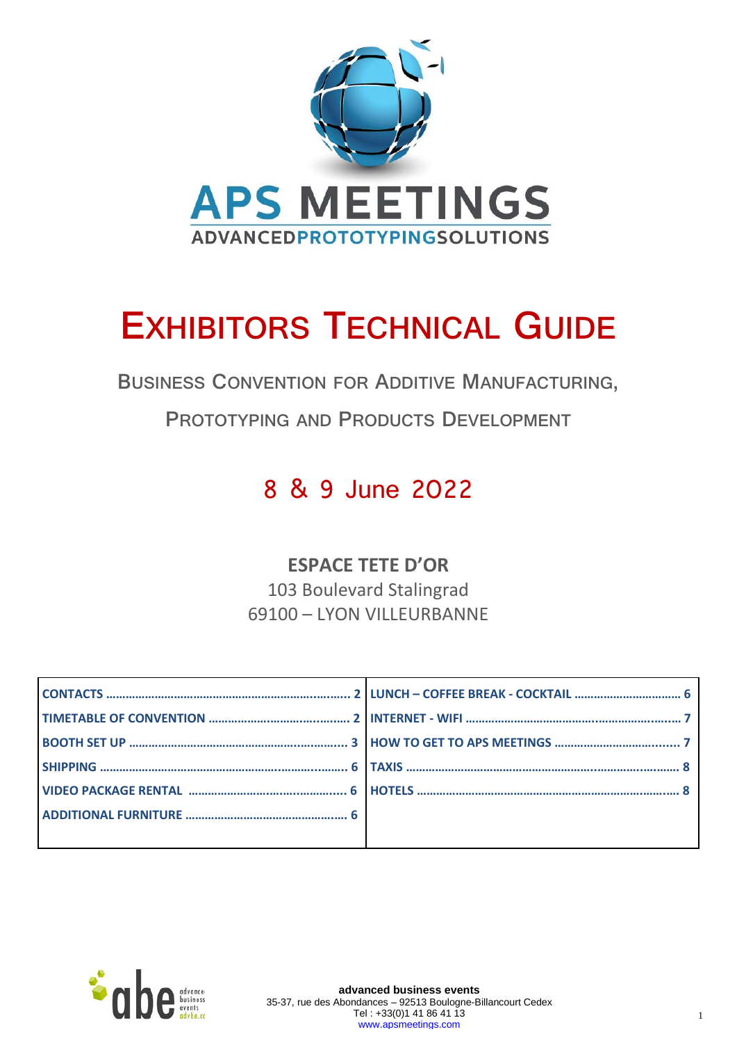

# **EXHIBITORS TECHNICAL GUIDE**

**BUSINESS CONVENTION FOR ADDITIVE MANUFACTURING,**

**PROTOTYPING AND PRODUCTS DEVELOPMENT**

# 8 & 9 June 2022

### **ESPACE TETE D'OR**

103 Boulevard Stalingrad 69100 – LYON VILLEURBANNE



**advanced business events** 35-37, rue des Abondances – 92513 Boulogne-Billancourt Cedex Tel : +33(0)1 41 86 41 13 [www.apsmeetings.com](http://www.apsmeetings.com/)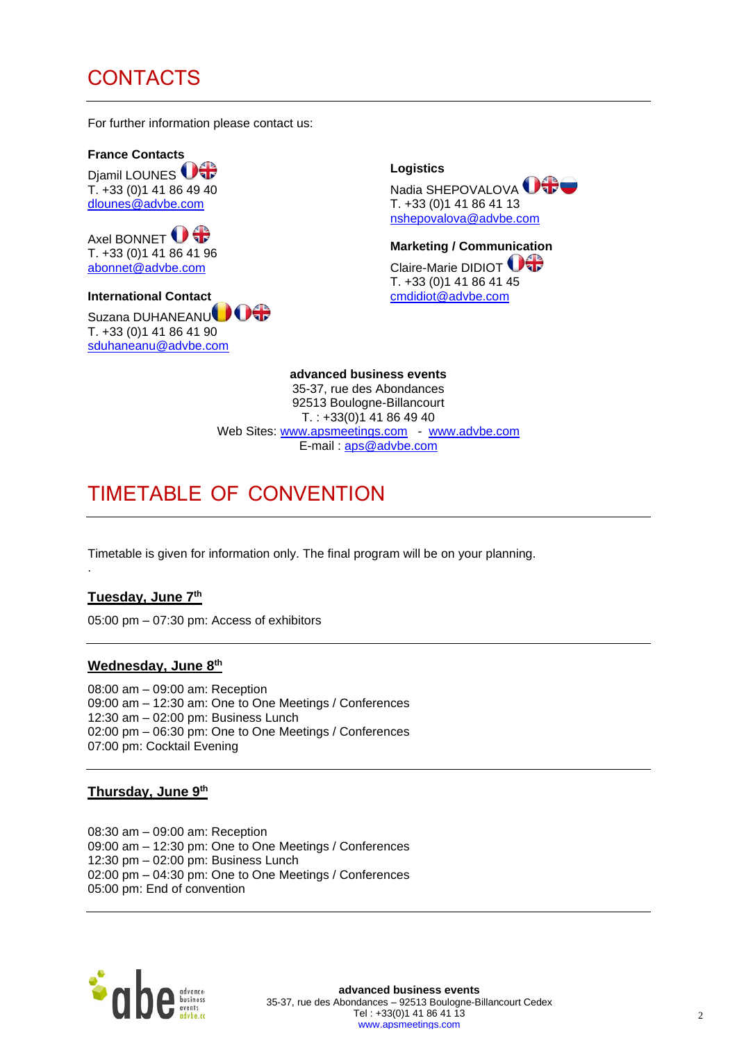### CONTACTS

For further information please contact us:

**France Contacts**  Djamil LOUNES<sup>US</sup> T. +33 (0)1 41 86 49 40 [dlounes@advbe.com](mailto:Fkara@adhes.com)

Axel BONNET <sup>1</sup> T. +33 (0)1 41 86 41 96 [abonnet@advbe.com](mailto:Fkara@adhes.com)

**International Contact** Suzana DUHANEANU<sup>OOO</sup> T. +33 (0)1 41 86 41 90 [sduhaneanu@advbe.com](mailto:sduhaneanu@advbe.com)

**Logistics**  Nadia SHEPOVALOVA **OGC** T. +33 (0)1 41 86 41 13 [nshepovalova@advbe.com](mailto:Lgrisel@adhes.com)

**Marketing / Communication** Claire-Marie DIDIOT **O** T. +33 (0)1 41 86 41 45 [cmdidiot@advbe.com](mailto:cmdidiot@advbe.com)

**advanced business events**  35-37, rue des Abondances 92513 Boulogne-Billancourt  $T. : +33(0)141864940$ Web Sites: [www.apsmeetings.com](http://www.apsmeetings.com/) - [www.advbe.com](http://www.advbe.com/) E-mail : [aps@advbe.com](mailto:aps@advbe.com)

### TIMETABLE OF CONVENTION

Timetable is given for information only. The final program will be on your planning.

#### **Tuesday, June 7 th**

.

05:00 pm – 07:30 pm: Access of exhibitors

#### **Wednesday, June 8 th**

08:00 am – 09:00 am: Reception 09:00 am – 12:30 am: One to One Meetings / Conferences 12:30 am – 02:00 pm: Business Lunch 02:00 pm – 06:30 pm: One to One Meetings / Conferences 07:00 pm: Cocktail Evening

#### **Thursday, June 9 th**

08:30 am – 09:00 am: Reception 09:00 am – 12:30 pm: One to One Meetings / Conferences 12:30 pm – 02:00 pm: Business Lunch 02:00 pm – 04:30 pm: One to One Meetings / Conferences 05:00 pm: End of convention



**advanced business events** 35-37, rue des Abondances – 92513 Boulogne-Billancourt Cedex Tel : +33(0)1 41 86 41 13 [www.apsmeetings.com](http://www.apsmeetings.com/)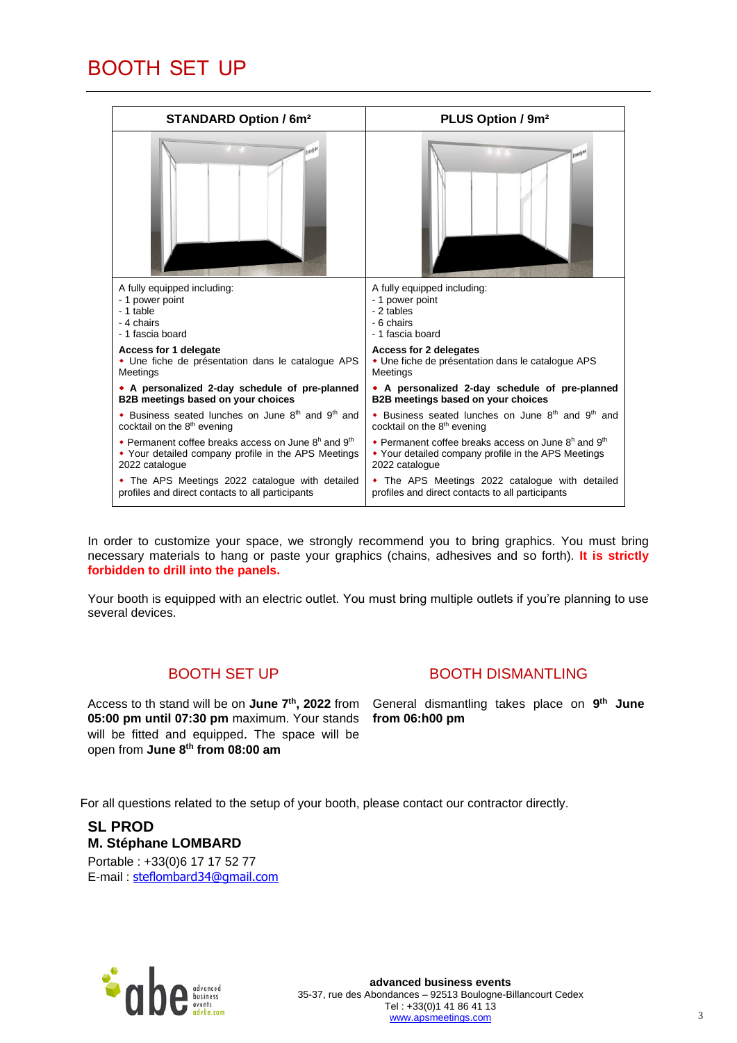### BOOTH SET UP

| <b>STANDARD Option / 6m<sup>2</sup></b>                                     | PLUS Option / 9m <sup>2</sup>                           |  |
|-----------------------------------------------------------------------------|---------------------------------------------------------|--|
|                                                                             |                                                         |  |
| A fully equipped including:                                                 | A fully equipped including:                             |  |
| - 1 power point                                                             | - 1 power point                                         |  |
| - 1 table                                                                   | - 2 tables                                              |  |
| - 4 chairs                                                                  | - 6 chairs                                              |  |
| - 1 fascia board                                                            | - 1 fascia board                                        |  |
| Access for 1 delegate                                                       | <b>Access for 2 delegates</b>                           |  |
| • Une fiche de présentation dans le catalogue APS                           | • Une fiche de présentation dans le catalogue APS       |  |
| Meetings                                                                    | Meetings                                                |  |
| • A personalized 2-day schedule of pre-planned                              | • A personalized 2-day schedule of pre-planned          |  |
| B2B meetings based on your choices                                          | B2B meetings based on your choices                      |  |
| • Business seated lunches on June $8th$ and $9th$ and                       | • Business seated lunches on June $8th$ and $9th$ and   |  |
| cocktail on the 8 <sup>th</sup> evening                                     | cocktail on the 8 <sup>th</sup> evening                 |  |
| • Permanent coffee breaks access on June 8 <sup>h</sup> and 9 <sup>th</sup> | • Permanent coffee breaks access on June $8h$ and $9th$ |  |
| • Your detailed company profile in the APS Meetings                         | • Your detailed company profile in the APS Meetings     |  |
| 2022 catalogue                                                              | 2022 catalogue                                          |  |
| • The APS Meetings 2022 catalogue with detailed                             | • The APS Meetings 2022 catalogue with detailed         |  |
| profiles and direct contacts to all participants                            | profiles and direct contacts to all participants        |  |

In order to customize your space, we strongly recommend you to bring graphics. You must bring necessary materials to hang or paste your graphics (chains, adhesives and so forth). **It is strictly forbidden to drill into the panels.** 

Your booth is equipped with an electric outlet. You must bring multiple outlets if you're planning to use several devices.

### BOOTH SET UP

BOOTH DISMANTLING

Access to th stand will be on **June 7 th , 2022** from General dismantling takes place on **9 th June 05:00 pm until 07:30 pm** maximum. Your stands will be fitted and equipped. The space will be open from **June 8 th from 08:00 am**

**from 06:h00 pm**

For all questions related to the setup of your booth, please contact our contractor directly.

#### **SL PROD M. Stéphane LOMBARD** Portable : +33(0)6 17 17 52 77

E-mail : [steflombard34@gmail.com](mailto:steflombard34@gmail.com)

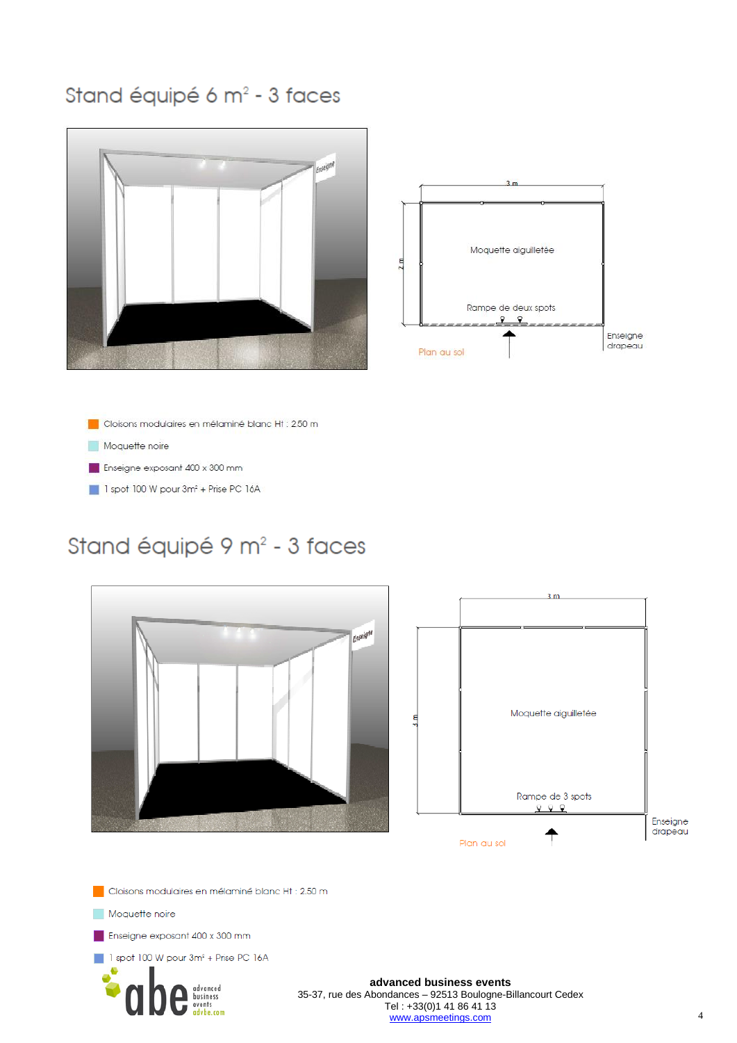## Stand équipé 6 m<sup>2</sup> - 3 faces





Cloisons modulaires en mélaminé blanc Ht : 2.50 m

Moquette noire

Enseigne exposant 400 x 300 mm

1 spot 100 W pour 3m<sup>2</sup> + Prise PC 16A

# Stand équipé 9 m<sup>2</sup> - 3 faces





Cloisons modulaires en mélaminé blanc Ht : 2.50 m

Moquette noire

Enseigne exposant 400 x 300 mm

1 spot 100 W pour 3m<sup>2</sup> + Prise PC 16A



#### advanced business events 35-37, rue des Abondances - 92513 Boulogne-Billancourt Cedex Tel: +33(0)1 41 86 41 13 www.apsmeetings.com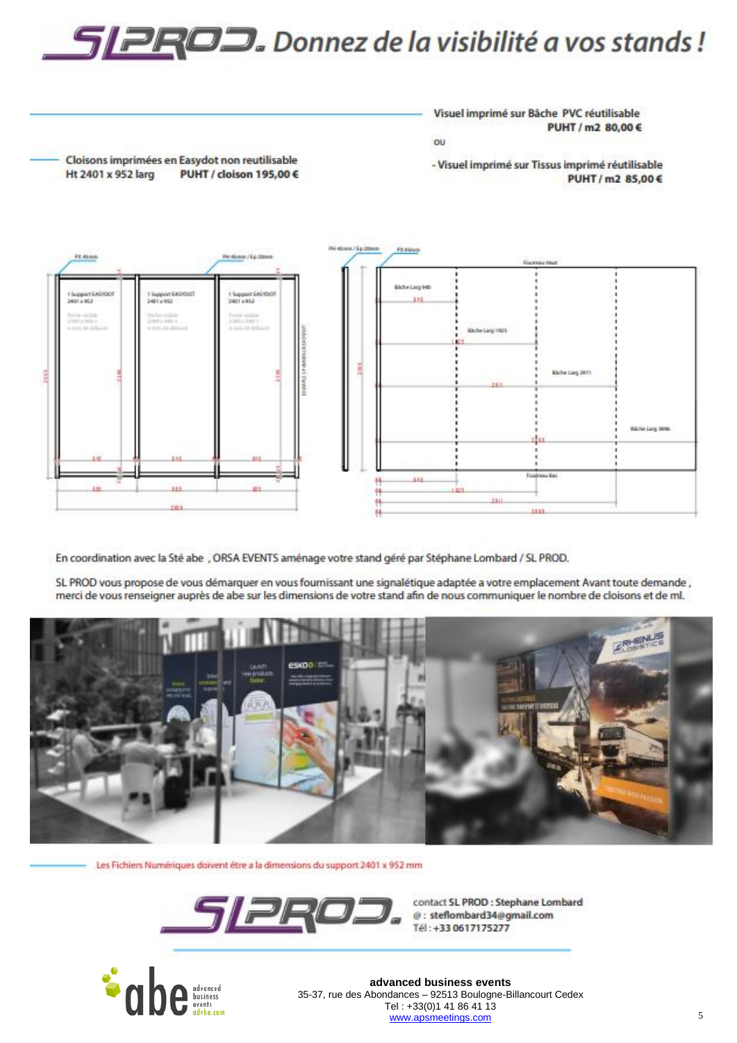# SPROD. Donnez de la visibilité a vos stands!

Visuel imprimé sur Bâche PVC réutilisable PUHT / m2 80,00 € ou

Cloisons imprimées en Easydot non reutilisable PUHT / cloison 195,00 €

- Visuel imprimé sur Tissus imprimé réutilisable PUHT/m2 85,00€



En coordination avec la Sté abe , ORSA EVENTS aménage votre stand géré par Stéphane Lombard / SL PROD.

SL PROD vous propose de vous démarquer en vous fournissant une signalétique adaptée a votre emplacement Avant toute demande, merci de vous renseigner auprès de abe sur les dimensions de votre stand afin de nous communiquer le nombre de cloisons et de ml.



Les Fichiers Numériques doivent être a la dimensions du support 2401 x 952 mm

![](_page_4_Picture_10.jpeg)

contact SL PROD : Stephane Lombard @: steflombard34@gmail.com Tél: +33 0617175277

![](_page_4_Picture_12.jpeg)

Ht 2401 x 952 larg

advanced business events 35-37, rue des Abondances - 92513 Boulogne-Billancourt Cedex Tel: +33(0)1 41 86 41 13 www.apsmeetings.com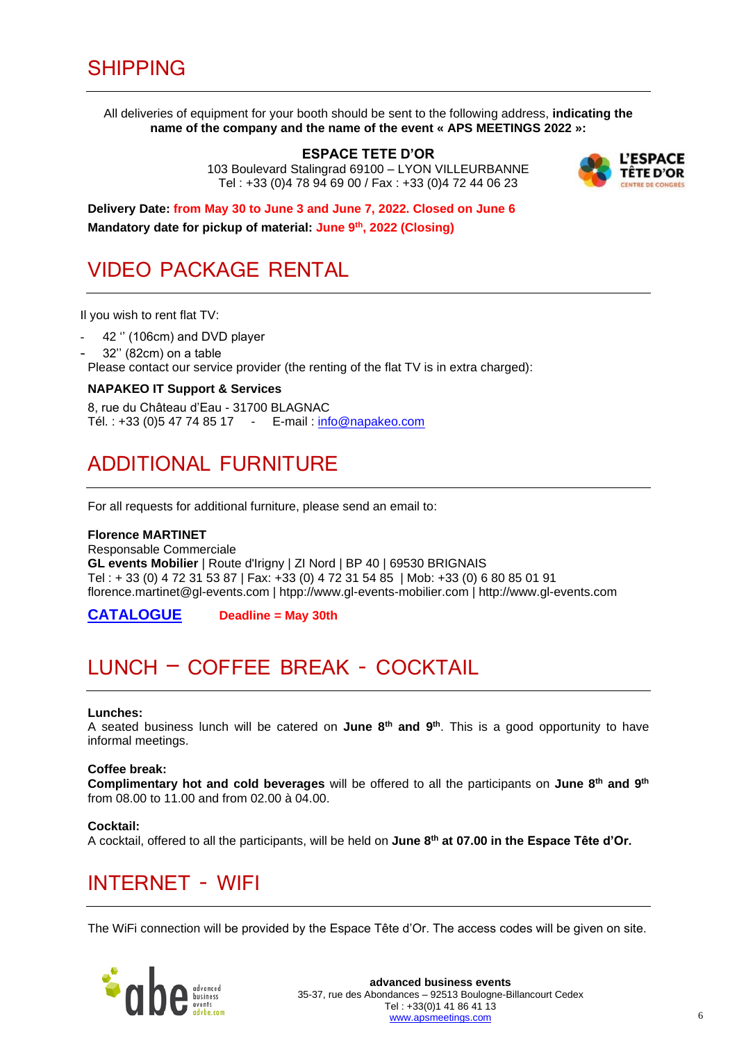All deliveries of equipment for your booth should be sent to the following address, **indicating the name of the company and the name of the event « APS MEETINGS 2022 »:**

> **ESPACE TETE D'OR**  103 Boulevard Stalingrad 69100 – LYON VILLEURBANNE Tel : +33 (0)4 78 94 69 00 / Fax : +33 (0)4 72 44 06 23

![](_page_5_Picture_3.jpeg)

**Delivery Date: from May 30 to June 3 and June 7, 2022. Closed on June 6 Mandatory date for pickup of material: June 9 th , 2022 (Closing)**

### VIDEO PACKAGE RENTAL

Il you wish to rent flat TV:

- 42 " (106cm) and DVD player
- 32" (82cm) on a table

Please contact our service provider (the renting of the flat TV is in extra charged):

#### **NAPAKEO IT Support & Services**

8, rue du Château d'Eau - 31700 BLAGNAC Tél. : +33 (0)5 47 74 85 17 - E-mail : [info@napakeo.com](mailto:info@napakeo.com)

### ADDITIONAL FURNITURE

For all requests for additional furniture, please send an email to:

#### **Florence MARTINET**

Responsable Commerciale **GL events Mobilier** | Route d'Irigny | ZI Nord | BP 40 | 69530 BRIGNAIS Tel : + 33 (0) 4 72 31 53 87 | Fax: +33 (0) 4 72 31 54 85 | Mob: +33 (0) 6 80 85 01 91 florence.martinet@gl-events.com | htpp://www.gl-events-mobilier.com | http://www.gl-events.com

**[CATALOGUE](https://extra.gl-events.com/www/catalogue-mobilier-salon-2022.pdf) Deadline = May 30th** 

# LUNCH – COFFEE BREAK - COCKTAIL

#### **Lunches:**

A seated business lunch will be catered on **June 8 th and 9 th**. This is a good opportunity to have informal meetings.

#### **Coffee break:**

Complimentary hot and cold beverages will be offered to all the participants on June 8<sup>th</sup> and 9<sup>th</sup> from 08.00 to 11.00 and from 02.00 à 04.00.

#### **Cocktail:**

A cocktail, offered to all the participants, will be held on **June 8 th at 07.00 in the Espace Tête d'Or.**

### INTERNET - WIFI

The WiFi connection will be provided by the Espace Tête d'Or. The access codes will be given on site.

![](_page_5_Picture_26.jpeg)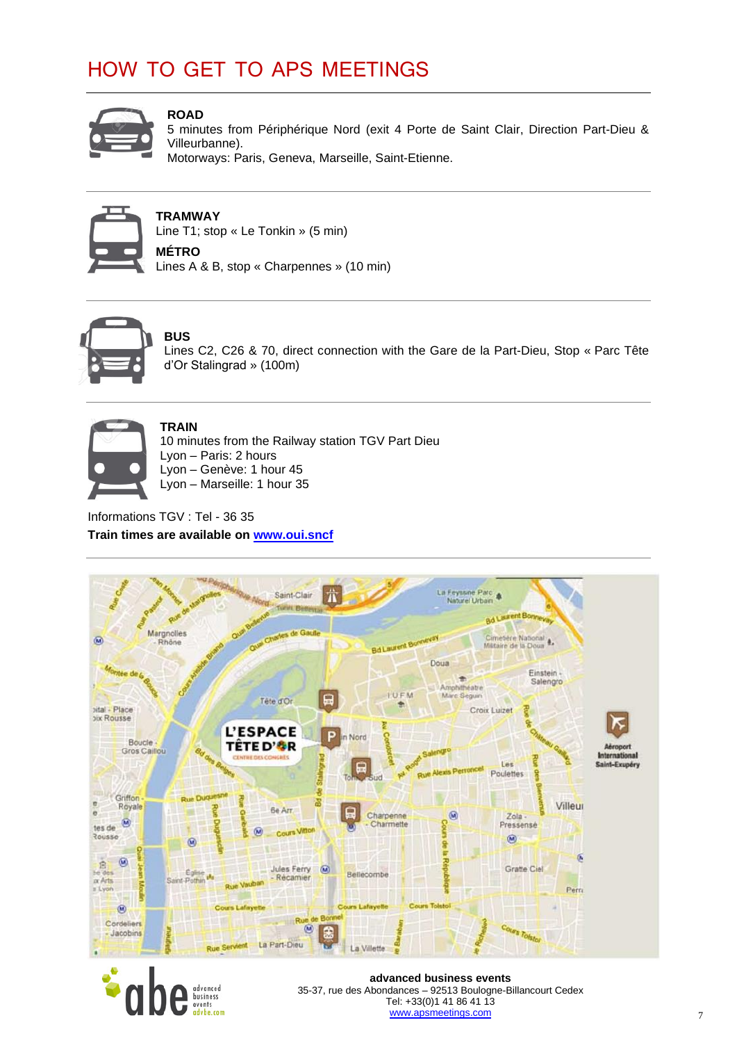# HOW TO GET TO APS MEETINGS

![](_page_6_Picture_1.jpeg)

#### **ROAD**

5 minutes from Périphérique Nord (exit 4 Porte de Saint Clair, Direction Part-Dieu & Villeurbanne).

Motorways: Paris, Geneva, Marseille, Saint-Etienne.

![](_page_6_Picture_5.jpeg)

#### **TRAMWAY**

Line T1; stop « Le Tonkin » (5 min) **MÉTRO**

Lines A & B, stop « Charpennes » (10 min)

![](_page_6_Picture_9.jpeg)

### **BUS**

Lines C2, C26 & 70, direct connection with the Gare de la Part-Dieu, Stop « Parc Tête d'Or Stalingrad » (100m)

![](_page_6_Picture_12.jpeg)

#### **TRAIN**

10 minutes from the Railway station TGV Part Dieu Lyon – Paris: 2 hours Lyon – Genève: 1 hour 45 Lyon – Marseille: 1 hour 35

Informations TGV : Tel - 36 35 **Train times are available on [www.oui.sncf](http://www.oui.sncf/)**

![](_page_6_Picture_16.jpeg)

![](_page_6_Picture_17.jpeg)

**advanced business events** 35-37, rue des Abondances – 92513 Boulogne-Billancourt Cedex Tel: +33(0)1 41 86 41 13 [www.apsmeetings.com](http://www.apsmeetings.com/)